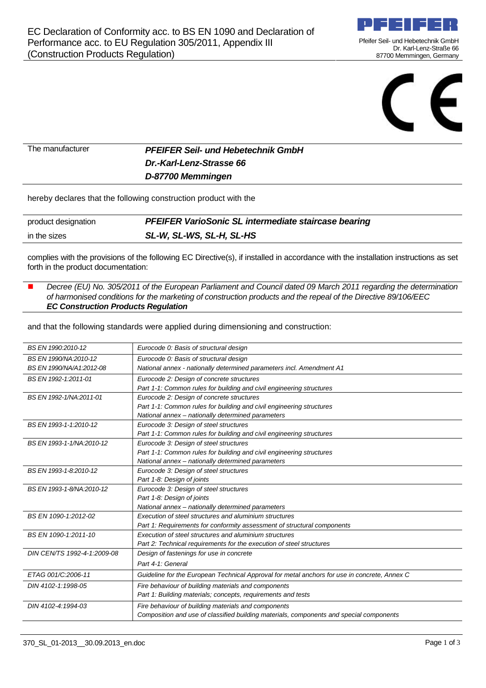

Pfeifer Seil- und Hebetechnik GmbH Dr. Karl-Lenz-Straße 66 87700 Memmingen, Germany



The manufacturer **PFEIFER Seil- und Hebetechnik GmbH Dr.-Karl-Lenz-Strasse 66 D-87700 Memmingen**

hereby declares that the following construction product with the

| product designation | PFEIFER VarioSonic SL intermediate staircase bearing |
|---------------------|------------------------------------------------------|
| in the sizes        | SL-W, SL-WS, SL-H, SL-HS                             |

complies with the provisions of the following EC Directive(s), if installed in accordance with the installation instructions as set forth in the product documentation:

 Decree (EU) No. 305/2011 of the European Parliament and Council dated 09 March 2011 regarding the determination of harmonised conditions for the marketing of construction products and the repeal of the Directive 89/106/EEC **EC Construction Products Regulation**

and that the following standards were applied during dimensioning and construction:

| BS EN 1990:2010-12          | Eurocode 0: Basis of structural design                                                       |
|-----------------------------|----------------------------------------------------------------------------------------------|
| BS EN 1990/NA:2010-12       | Eurocode 0: Basis of structural design                                                       |
| BS EN 1990/NA/A1:2012-08    | National annex - nationally determined parameters incl. Amendment A1                         |
| BS EN 1992-1:2011-01        | Eurocode 2: Design of concrete structures                                                    |
|                             | Part 1-1: Common rules for building and civil engineering structures                         |
| BS EN 1992-1/NA:2011-01     | Eurocode 2: Design of concrete structures                                                    |
|                             | Part 1-1: Common rules for building and civil engineering structures                         |
|                             | National annex - nationally determined parameters                                            |
| BS EN 1993-1-1.2010-12      | Eurocode 3: Design of steel structures                                                       |
|                             | Part 1-1: Common rules for building and civil engineering structures                         |
| BS EN 1993-1-1/NA:2010-12   | Eurocode 3: Design of steel structures                                                       |
|                             | Part 1-1: Common rules for building and civil engineering structures                         |
|                             | National annex - nationally determined parameters                                            |
| BS EN 1993-1-8:2010-12      | Eurocode 3: Design of steel structures                                                       |
|                             | Part 1-8: Design of joints                                                                   |
| BS EN 1993-1-8/NA:2010-12   | Eurocode 3: Design of steel structures                                                       |
|                             | Part 1-8: Design of joints                                                                   |
|                             | National annex - nationally determined parameters                                            |
| BS EN 1090-1:2012-02        | Execution of steel structures and aluminium structures                                       |
|                             | Part 1: Requirements for conformity assessment of structural components                      |
| BS EN 1090-1:2011-10        | Execution of steel structures and aluminium structures                                       |
|                             | Part 2: Technical requirements for the execution of steel structures                         |
| DIN CEN/TS 1992-4-1:2009-08 | Design of fastenings for use in concrete                                                     |
|                             | Part 4-1: General                                                                            |
| ETAG 001/C:2006-11          | Guideline for the European Technical Approval for metal anchors for use in concrete, Annex C |
| DIN 4102-1:1998-05          | Fire behaviour of building materials and components                                          |
|                             | Part 1: Building materials; concepts, requirements and tests                                 |
| DIN 4102-4:1994-03          | Fire behaviour of building materials and components                                          |
|                             | Composition and use of classified building materials, components and special components      |
|                             |                                                                                              |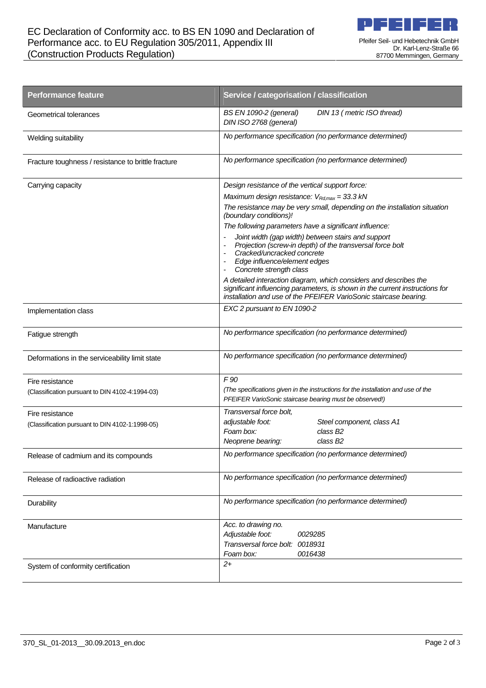

| <b>Performance feature</b>                          | Service / categorisation / classification                                                                                                                                                                              |
|-----------------------------------------------------|------------------------------------------------------------------------------------------------------------------------------------------------------------------------------------------------------------------------|
| Geometrical tolerances                              | DIN 13 (metric ISO thread)<br><b>BS EN 1090-2 (general)</b><br>DIN ISO 2768 (general)                                                                                                                                  |
| Welding suitability                                 | No performance specification (no performance determined)                                                                                                                                                               |
| Fracture toughness / resistance to brittle fracture | No performance specification (no performance determined)                                                                                                                                                               |
| Carrying capacity                                   | Design resistance of the vertical support force:                                                                                                                                                                       |
|                                                     | Maximum design resistance: $V_{Rd, max} = 33.3$ kN                                                                                                                                                                     |
|                                                     | The resistance may be very small, depending on the installation situation<br>(boundary conditions)!                                                                                                                    |
|                                                     | The following parameters have a significant influence:                                                                                                                                                                 |
|                                                     | Joint width (gap width) between stairs and support<br>Projection (screw-in depth) of the transversal force bolt<br>Cracked/uncracked concrete<br>Edge influence/element edges<br>Concrete strength class               |
|                                                     | A detailed interaction diagram, which considers and describes the<br>significant influencing parameters, is shown in the current instructions for<br>installation and use of the PFEIFER VarioSonic staircase bearing. |
| Implementation class                                | EXC 2 pursuant to EN 1090-2                                                                                                                                                                                            |
| Fatigue strength                                    | No performance specification (no performance determined)                                                                                                                                                               |
| Deformations in the serviceability limit state      | No performance specification (no performance determined)                                                                                                                                                               |
| Fire resistance                                     | F 90                                                                                                                                                                                                                   |
| (Classification pursuant to DIN 4102-4:1994-03)     | (The specifications given in the instructions for the installation and use of the<br>PFEIFER VarioSonic staircase bearing must be observed!)                                                                           |
| Fire resistance                                     | Transversal force bolt,                                                                                                                                                                                                |
| (Classification pursuant to DIN 4102-1:1998-05)     | adjustable foot:<br>Steel component, class A1                                                                                                                                                                          |
|                                                     | Foam box:<br>class B <sub>2</sub><br>class B <sub>2</sub><br>Neoprene bearing:                                                                                                                                         |
| Release of cadmium and its compounds                | No performance specification (no performance determined)                                                                                                                                                               |
| Release of radioactive radiation                    | No performance specification (no performance determined)                                                                                                                                                               |
| Durability                                          | No performance specification (no performance determined)                                                                                                                                                               |
| Manufacture                                         | Acc. to drawing no.                                                                                                                                                                                                    |
|                                                     | Adjustable foot:<br>0029285                                                                                                                                                                                            |
|                                                     | Transversal force bolt: 0018931<br>Foam box:<br>0016438                                                                                                                                                                |
| System of conformity certification                  | $2+$                                                                                                                                                                                                                   |